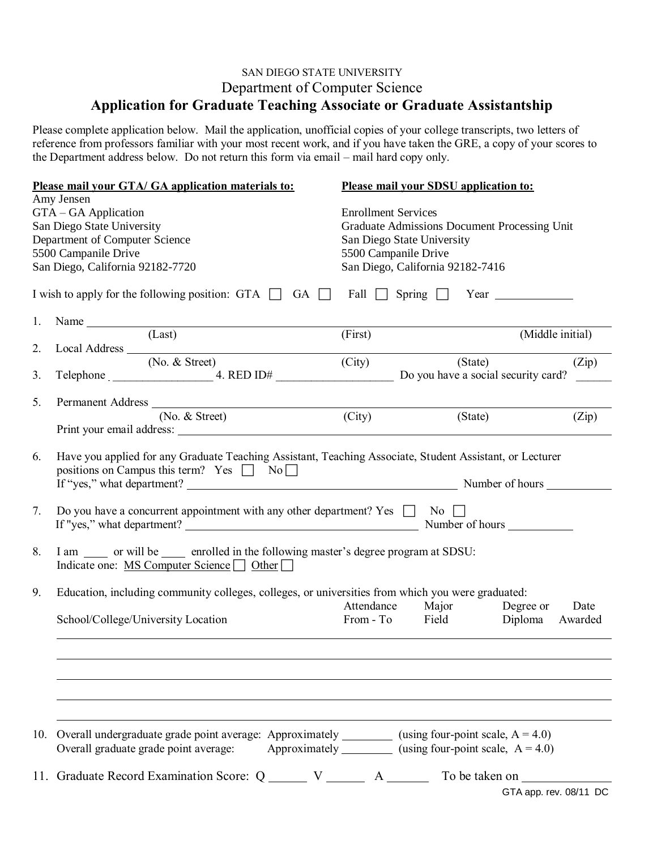## SAN DIEGO STATE UNIVERSITY Department of Computer Science **Application for Graduate Teaching Associate or Graduate Assistantship**

Please complete application below. Mail the application, unofficial copies of your college transcripts, two letters of reference from professors familiar with your most recent work, and if you have taken the GRE, a copy of your scores to the Department address below. Do not return this form via email – mail hard copy only.

|     | Please mail your GTA/ GA application materials to:                                                                                                                                                                                       |                                                                                  | Please mail your SDSU application to:                                            |                        |
|-----|------------------------------------------------------------------------------------------------------------------------------------------------------------------------------------------------------------------------------------------|----------------------------------------------------------------------------------|----------------------------------------------------------------------------------|------------------------|
|     | Amy Jensen<br>GTA - GA Application<br>San Diego State University<br>Department of Computer Science<br>5500 Campanile Drive<br>San Diego, California 92182-7720                                                                           | <b>Enrollment Services</b><br>San Diego State University<br>5500 Campanile Drive | Graduate Admissions Document Processing Unit<br>San Diego, California 92182-7416 |                        |
|     | I wish to apply for the following position: GTA $\Box$ GA $\Box$                                                                                                                                                                         |                                                                                  | Fall $\Box$ Spring $\Box$ Year $\Box$                                            |                        |
| 1.  | Name Name and the second state of the second state of the second state of the second state of the second state of the second state of the second state of the second state of the second state of the second state of the seco<br>(Last) | (First)                                                                          |                                                                                  | (Middle initial)       |
| 2.  | Local Address $\overline{\qquad \qquad }$ (No. & Street)                                                                                                                                                                                 | (City)                                                                           | (State)                                                                          | (Zip)                  |
| 3.  |                                                                                                                                                                                                                                          |                                                                                  | Do you have a social security card?                                              |                        |
| 5.  | Permanent Address                                                                                                                                                                                                                        |                                                                                  |                                                                                  |                        |
|     | (No. & Street)<br>Print your email address:                                                                                                                                                                                              | (City)                                                                           | (State)                                                                          | (Zip)                  |
| 6.  | Have you applied for any Graduate Teaching Assistant, Teaching Associate, Student Assistant, or Lecturer<br>positions on Campus this term? Yes $\Box$ No $\Box$<br>If "yes," what department? Number of hours                            |                                                                                  |                                                                                  |                        |
| 7.  | Do you have a concurrent appointment with any other department? Yes $\Box$ No $\Box$                                                                                                                                                     |                                                                                  |                                                                                  |                        |
| 8.  | I am _____ or will be _____ enrolled in the following master's degree program at SDSU:<br>Indicate one: MS Computer Science □ Other                                                                                                      |                                                                                  |                                                                                  |                        |
| 9.  | Education, including community colleges, colleges, or universities from which you were graduated:                                                                                                                                        |                                                                                  |                                                                                  | Date                   |
|     | School/College/University Location                                                                                                                                                                                                       |                                                                                  | Attendance Major Degree or<br>From - To Field Diploma                            | Awarded                |
|     |                                                                                                                                                                                                                                          |                                                                                  |                                                                                  |                        |
|     |                                                                                                                                                                                                                                          |                                                                                  |                                                                                  |                        |
| 10. | Overall undergraduate grade point average: Approximately _________ (using four-point scale, $A = 4.0$ )<br>Overall graduate grade point average:                                                                                         |                                                                                  | Approximately __________ (using four-point scale, $A = 4.0$ )                    |                        |
|     | 11. Graduate Record Examination Score: Q _______ V ________ A ________ To be taken on ____________                                                                                                                                       |                                                                                  |                                                                                  | GTA app. rev. 08/11 DC |